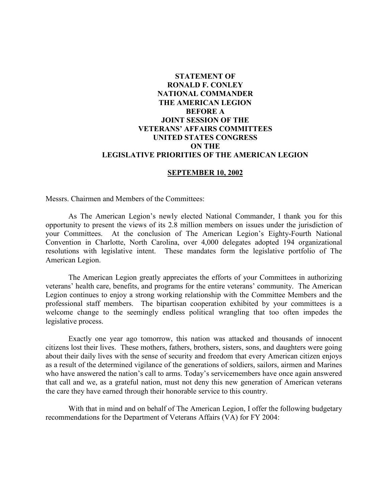# **STATEMENT OF RONALD F. CONLEY NATIONAL COMMANDER THE AMERICAN LEGION BEFORE A JOINT SESSION OF THE VETERANS' AFFAIRS COMMITTEES UNITED STATES CONGRESS ON THE LEGISLATIVE PRIORITIES OF THE AMERICAN LEGION**

#### **SEPTEMBER 10, 2002**

Messrs. Chairmen and Members of the Committees:

As The American Legion's newly elected National Commander, I thank you for this opportunity to present the views of its 2.8 million members on issues under the jurisdiction of your Committees. At the conclusion of The American Legion's Eighty-Fourth National Convention in Charlotte, North Carolina, over 4,000 delegates adopted 194 organizational resolutions with legislative intent. These mandates form the legislative portfolio of The American Legion.

The American Legion greatly appreciates the efforts of your Committees in authorizing veterans' health care, benefits, and programs for the entire veterans' community. The American Legion continues to enjoy a strong working relationship with the Committee Members and the professional staff members. The bipartisan cooperation exhibited by your committees is a welcome change to the seemingly endless political wrangling that too often impedes the legislative process.

Exactly one year ago tomorrow, this nation was attacked and thousands of innocent citizens lost their lives. These mothers, fathers, brothers, sisters, sons, and daughters were going about their daily lives with the sense of security and freedom that every American citizen enjoys as a result of the determined vigilance of the generations of soldiers, sailors, airmen and Marines who have answered the nation's call to arms. Today's servicemembers have once again answered that call and we, as a grateful nation, must not deny this new generation of American veterans the care they have earned through their honorable service to this country.

With that in mind and on behalf of The American Legion, I offer the following budgetary recommendations for the Department of Veterans Affairs (VA) for FY 2004: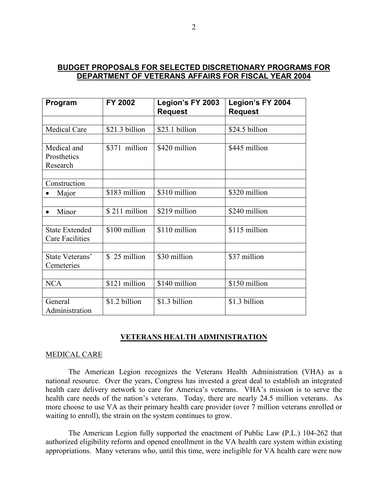# **BUDGET PROPOSALS FOR SELECTED DISCRETIONARY PROGRAMS FOR DEPARTMENT OF VETERANS AFFAIRS FOR FISCAL YEAR 2004**

| Program                | FY 2002        | Legion's FY 2003<br><b>Request</b> | Legion's FY 2004<br><b>Request</b> |
|------------------------|----------------|------------------------------------|------------------------------------|
|                        |                |                                    |                                    |
| <b>Medical Care</b>    | \$21.3 billion | \$23.1 billion                     | \$24.5 billion                     |
|                        |                |                                    |                                    |
| Medical and            | \$371 million  | \$420 million                      | \$445 million                      |
| Prosthetics            |                |                                    |                                    |
| Research               |                |                                    |                                    |
|                        |                |                                    |                                    |
| Construction           |                |                                    |                                    |
| Major                  | \$183 million  | \$310 million                      | \$320 million                      |
|                        |                |                                    |                                    |
| Minor                  | \$211 million  | \$219 million                      | \$240 million                      |
|                        |                |                                    |                                    |
| <b>State Extended</b>  | \$100 million  | \$110 million                      | \$115 million                      |
| <b>Care Facilities</b> |                |                                    |                                    |
|                        |                |                                    |                                    |
| State Veterans'        | \$25 million   | \$30 million                       | \$37 million                       |
| Cemeteries             |                |                                    |                                    |
|                        |                |                                    |                                    |
| <b>NCA</b>             | \$121 million  | \$140 million                      | \$150 million                      |
|                        |                |                                    |                                    |
| General                | \$1.2 billion  | \$1.3 billion                      | \$1.3 billion                      |
| Administration         |                |                                    |                                    |

# **VETERANS HEALTH ADMINISTRATION**

## MEDICAL CARE

The American Legion recognizes the Veterans Health Administration (VHA) as a national resource. Over the years, Congress has invested a great deal to establish an integrated health care delivery network to care for America's veterans. VHA's mission is to serve the health care needs of the nation's veterans. Today, there are nearly 24.5 million veterans. As more choose to use VA as their primary health care provider (over 7 million veterans enrolled or waiting to enroll), the strain on the system continues to grow.

The American Legion fully supported the enactment of Public Law (P.L.) 104-262 that authorized eligibility reform and opened enrollment in the VA health care system within existing appropriations. Many veterans who, until this time, were ineligible for VA health care were now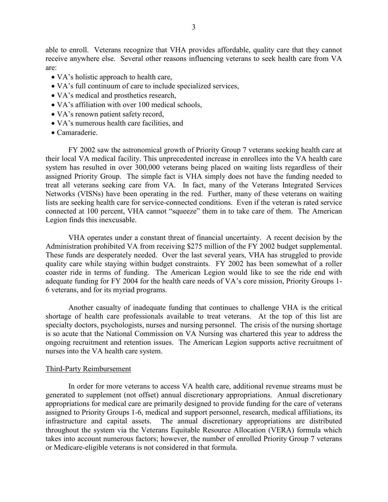able to enroll. Veterans recognize that VHA provides affordable, quality care that they cannot receive anywhere else. Several other reasons influencing veterans to seek health care from VA are:

- VA's holistic approach to health care,
- VA's full continuum of care to include specialized services,
- VA's medical and prosthetics research,
- VA's affiliation with over 100 medical schools,
- VA's renown patient safety record,
- VA's numerous health care facilities, and
- Camaraderie.

FY 2002 saw the astronomical growth of Priority Group 7 veterans seeking health care at their local VA medical facility. This unprecedented increase in enrollees into the VA health care system has resulted in over 300,000 veterans being placed on waiting lists regardless of their assigned Priority Group. The simple fact is VHA simply does not have the funding needed to treat all veterans seeking care from VA. In fact, many of the Veterans Integrated Services Networks (VISNs) have been operating in the red. Further, many of these veterans on waiting lists are seeking health care for service-connected conditions. Even if the veteran is rated service connected at 100 percent, VHA cannot "squeeze" them in to take care of them. The American Legion finds this inexcusable.

VHA operates under a constant threat of financial uncertainty. A recent decision by the Administration prohibited VA from receiving \$275 million of the FY 2002 budget supplemental. These funds are desperately needed. Over the last several years, VHA has struggled to provide quality care while staying within budget constraints. FY 2002 has been somewhat of a roller coaster ride in terms of funding. The American Legion would like to see the ride end with adequate funding for FY 2004 for the health care needs of VA's core mission, Priority Groups 1- 6 veterans, and for its myriad programs.

Another casualty of inadequate funding that continues to challenge VHA is the critical shortage of health care professionals available to treat veterans. At the top of this list are specialty doctors, psychologists, nurses and nursing personnel. The crisis of the nursing shortage is so acute that the National Commission on VA Nursing was chartered this year to address the ongoing recruitment and retention issues. The American Legion supports active recruitment of nurses into the VA health care system.

#### Third-Party Reimbursement

In order for more veterans to access VA health care, additional revenue streams must be generated to supplement (not offset) annual discretionary appropriations. Annual discretionary appropriations for medical care are primarily designed to provide funding for the care of veterans assigned to Priority Groups 1-6, medical and support personnel, research, medical affiliations, its infrastructure and capital assets. The annual discretionary appropriations are distributed throughout the system via the Veterans Equitable Resource Allocation (VERA) formula which takes into account numerous factors; however, the number of enrolled Priority Group 7 veterans or Medicare-eligible veterans is not considered in that formula.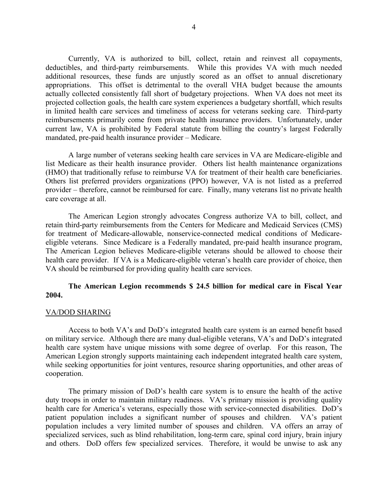Currently, VA is authorized to bill, collect, retain and reinvest all copayments, deductibles, and third-party reimbursements. While this provides VA with much needed additional resources, these funds are unjustly scored as an offset to annual discretionary appropriations. This offset is detrimental to the overall VHA budget because the amounts actually collected consistently fall short of budgetary projections. When VA does not meet its projected collection goals, the health care system experiences a budgetary shortfall, which results in limited health care services and timeliness of access for veterans seeking care. Third-party reimbursements primarily come from private health insurance providers. Unfortunately, under current law, VA is prohibited by Federal statute from billing the country's largest Federally mandated, pre-paid health insurance provider – Medicare.

A large number of veterans seeking health care services in VA are Medicare-eligible and list Medicare as their health insurance provider. Others list health maintenance organizations (HMO) that traditionally refuse to reimburse VA for treatment of their health care beneficiaries. Others list preferred providers organizations (PPO) however, VA is not listed as a preferred provider – therefore, cannot be reimbursed for care. Finally, many veterans list no private health care coverage at all.

The American Legion strongly advocates Congress authorize VA to bill, collect, and retain third-party reimbursements from the Centers for Medicare and Medicaid Services (CMS) for treatment of Medicare-allowable, nonservice-connected medical conditions of Medicareeligible veterans. Since Medicare is a Federally mandated, pre-paid health insurance program, The American Legion believes Medicare-eligible veterans should be allowed to choose their health care provider. If VA is a Medicare-eligible veteran's health care provider of choice, then VA should be reimbursed for providing quality health care services.

# **The American Legion recommends \$ 24.5 billion for medical care in Fiscal Year 2004.**

## VA/DOD SHARING

Access to both VA's and DoD's integrated health care system is an earned benefit based on military service. Although there are many dual-eligible veterans, VA's and DoD's integrated health care system have unique missions with some degree of overlap. For this reason, The American Legion strongly supports maintaining each independent integrated health care system, while seeking opportunities for joint ventures, resource sharing opportunities, and other areas of cooperation.

The primary mission of DoD's health care system is to ensure the health of the active duty troops in order to maintain military readiness. VA's primary mission is providing quality health care for America's veterans, especially those with service-connected disabilities. DoD's patient population includes a significant number of spouses and children. VA's patient population includes a very limited number of spouses and children. VA offers an array of specialized services, such as blind rehabilitation, long-term care, spinal cord injury, brain injury and others. DoD offers few specialized services. Therefore, it would be unwise to ask any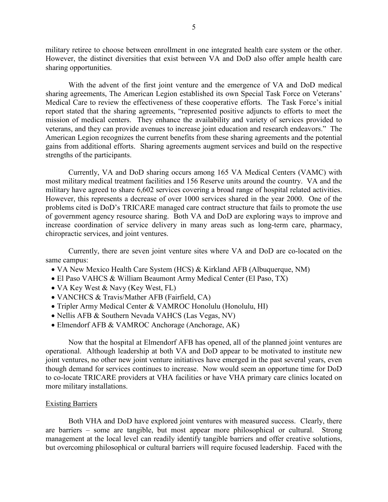military retiree to choose between enrollment in one integrated health care system or the other. However, the distinct diversities that exist between VA and DoD also offer ample health care sharing opportunities.

With the advent of the first joint venture and the emergence of VA and DoD medical sharing agreements, The American Legion established its own Special Task Force on Veterans' Medical Care to review the effectiveness of these cooperative efforts. The Task Force's initial report stated that the sharing agreements, "represented positive adjuncts to efforts to meet the mission of medical centers. They enhance the availability and variety of services provided to veterans, and they can provide avenues to increase joint education and research endeavors." The American Legion recognizes the current benefits from these sharing agreements and the potential gains from additional efforts. Sharing agreements augment services and build on the respective strengths of the participants.

Currently, VA and DoD sharing occurs among 165 VA Medical Centers (VAMC) with most military medical treatment facilities and 156 Reserve units around the country. VA and the military have agreed to share 6,602 services covering a broad range of hospital related activities. However, this represents a decrease of over 1000 services shared in the year 2000. One of the problems cited is DoD's TRICARE managed care contract structure that fails to promote the use of government agency resource sharing. Both VA and DoD are exploring ways to improve and increase coordination of service delivery in many areas such as long-term care, pharmacy, chiropractic services, and joint ventures.

Currently, there are seven joint venture sites where VA and DoD are co-located on the same campus:

- VA New Mexico Health Care System (HCS) & Kirkland AFB (Albuquerque, NM)
- El Paso VAHCS & William Beaumont Army Medical Center (El Paso, TX)
- VA Key West & Navy (Key West, FL)
- VANCHCS & Travis/Mather AFB (Fairfield, CA)
- Tripler Army Medical Center & VAMROC Honolulu (Honolulu, HI)
- Nellis AFB & Southern Nevada VAHCS (Las Vegas, NV)
- Elmendorf AFB & VAMROC Anchorage (Anchorage, AK)

Now that the hospital at Elmendorf AFB has opened, all of the planned joint ventures are operational. Although leadership at both VA and DoD appear to be motivated to institute new joint ventures, no other new joint venture initiatives have emerged in the past several years, even though demand for services continues to increase. Now would seem an opportune time for DoD to co-locate TRICARE providers at VHA facilities or have VHA primary care clinics located on more military installations.

## Existing Barriers

Both VHA and DoD have explored joint ventures with measured success. Clearly, there are barriers – some are tangible, but most appear more philosophical or cultural. Strong management at the local level can readily identify tangible barriers and offer creative solutions, but overcoming philosophical or cultural barriers will require focused leadership. Faced with the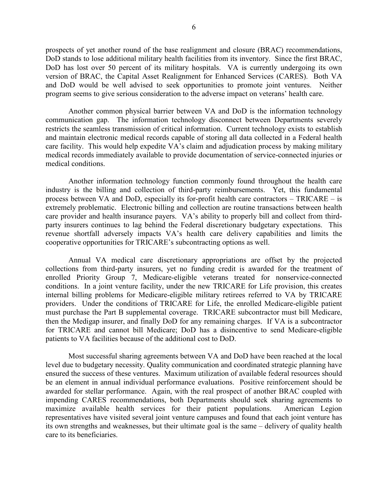prospects of yet another round of the base realignment and closure (BRAC) recommendations, DoD stands to lose additional military health facilities from its inventory. Since the first BRAC, DoD has lost over 50 percent of its military hospitals. VA is currently undergoing its own version of BRAC, the Capital Asset Realignment for Enhanced Services (CARES). Both VA and DoD would be well advised to seek opportunities to promote joint ventures. Neither program seems to give serious consideration to the adverse impact on veterans' health care.

Another common physical barrier between VA and DoD is the information technology communication gap. The information technology disconnect between Departments severely restricts the seamless transmission of critical information. Current technology exists to establish and maintain electronic medical records capable of storing all data collected in a Federal health care facility. This would help expedite VA's claim and adjudication process by making military medical records immediately available to provide documentation of service-connected injuries or medical conditions.

Another information technology function commonly found throughout the health care industry is the billing and collection of third-party reimbursements. Yet, this fundamental process between VA and DoD, especially its for-profit health care contractors – TRICARE – is extremely problematic. Electronic billing and collection are routine transactions between health care provider and health insurance payers. VA's ability to properly bill and collect from thirdparty insurers continues to lag behind the Federal discretionary budgetary expectations. This revenue shortfall adversely impacts VA's health care delivery capabilities and limits the cooperative opportunities for TRICARE's subcontracting options as well.

Annual VA medical care discretionary appropriations are offset by the projected collections from third-party insurers, yet no funding credit is awarded for the treatment of enrolled Priority Group 7, Medicare-eligible veterans treated for nonservice-connected conditions. In a joint venture facility, under the new TRICARE for Life provision, this creates internal billing problems for Medicare-eligible military retirees referred to VA by TRICARE providers. Under the conditions of TRICARE for Life, the enrolled Medicare-eligible patient must purchase the Part B supplemental coverage. TRICARE subcontractor must bill Medicare, then the Medigap insurer, and finally DoD for any remaining charges. If VA is a subcontractor for TRICARE and cannot bill Medicare; DoD has a disincentive to send Medicare-eligible patients to VA facilities because of the additional cost to DoD.

Most successful sharing agreements between VA and DoD have been reached at the local level due to budgetary necessity. Quality communication and coordinated strategic planning have ensured the success of these ventures. Maximum utilization of available federal resources should be an element in annual individual performance evaluations. Positive reinforcement should be awarded for stellar performance. Again, with the real prospect of another BRAC coupled with impending CARES recommendations, both Departments should seek sharing agreements to maximize available health services for their patient populations. American Legion representatives have visited several joint venture campuses and found that each joint venture has its own strengths and weaknesses, but their ultimate goal is the same – delivery of quality health care to its beneficiaries.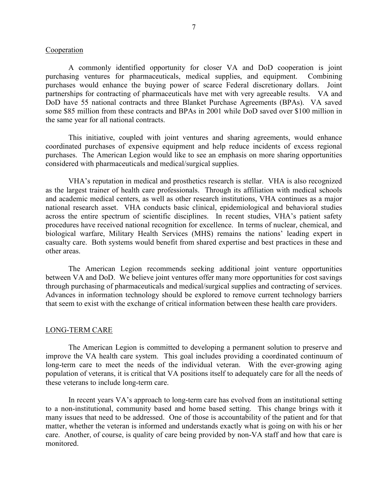### Cooperation

A commonly identified opportunity for closer VA and DoD cooperation is joint purchasing ventures for pharmaceuticals, medical supplies, and equipment. Combining purchases would enhance the buying power of scarce Federal discretionary dollars. Joint partnerships for contracting of pharmaceuticals have met with very agreeable results. VA and DoD have 55 national contracts and three Blanket Purchase Agreements (BPAs). VA saved some \$85 million from these contracts and BPAs in 2001 while DoD saved over \$100 million in the same year for all national contracts.

This initiative, coupled with joint ventures and sharing agreements, would enhance coordinated purchases of expensive equipment and help reduce incidents of excess regional purchases. The American Legion would like to see an emphasis on more sharing opportunities considered with pharmaceuticals and medical/surgical supplies.

VHA's reputation in medical and prosthetics research is stellar. VHA is also recognized as the largest trainer of health care professionals. Through its affiliation with medical schools and academic medical centers, as well as other research institutions, VHA continues as a major national research asset. VHA conducts basic clinical, epidemiological and behavioral studies across the entire spectrum of scientific disciplines. In recent studies, VHA's patient safety procedures have received national recognition for excellence. In terms of nuclear, chemical, and biological warfare, Military Health Services (MHS) remains the nations' leading expert in casualty care. Both systems would benefit from shared expertise and best practices in these and other areas.

The American Legion recommends seeking additional joint venture opportunities between VA and DoD. We believe joint ventures offer many more opportunities for cost savings through purchasing of pharmaceuticals and medical/surgical supplies and contracting of services. Advances in information technology should be explored to remove current technology barriers that seem to exist with the exchange of critical information between these health care providers.

#### LONG-TERM CARE

The American Legion is committed to developing a permanent solution to preserve and improve the VA health care system. This goal includes providing a coordinated continuum of long-term care to meet the needs of the individual veteran. With the ever-growing aging population of veterans, it is critical that VA positions itself to adequately care for all the needs of these veterans to include long-term care.

In recent years VA's approach to long-term care has evolved from an institutional setting to a non-institutional, community based and home based setting. This change brings with it many issues that need to be addressed. One of those is accountability of the patient and for that matter, whether the veteran is informed and understands exactly what is going on with his or her care. Another, of course, is quality of care being provided by non-VA staff and how that care is monitored.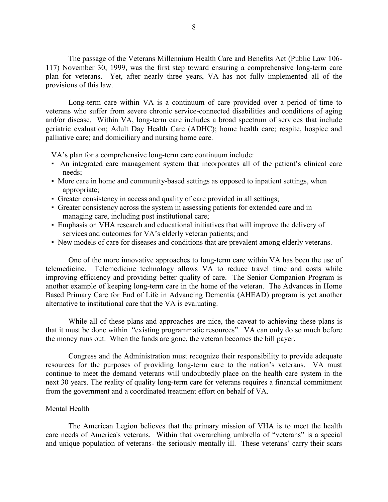The passage of the Veterans Millennium Health Care and Benefits Act (Public Law 106- 117) November 30, 1999, was the first step toward ensuring a comprehensive long-term care plan for veterans. Yet, after nearly three years, VA has not fully implemented all of the provisions of this law.

Long-term care within VA is a continuum of care provided over a period of time to veterans who suffer from severe chronic service-connected disabilities and conditions of aging and/or disease. Within VA, long-term care includes a broad spectrum of services that include geriatric evaluation; Adult Day Health Care (ADHC); home health care; respite, hospice and palliative care; and domiciliary and nursing home care.

VA's plan for a comprehensive long-term care continuum include:

- An integrated care management system that incorporates all of the patient's clinical care needs;
- More care in home and community-based settings as opposed to inpatient settings, when appropriate;
- Greater consistency in access and quality of care provided in all settings;
- Greater consistency across the system in assessing patients for extended care and in managing care, including post institutional care;
- Emphasis on VHA research and educational initiatives that will improve the delivery of services and outcomes for VA's elderly veteran patients; and
- New models of care for diseases and conditions that are prevalent among elderly veterans.

One of the more innovative approaches to long-term care within VA has been the use of telemedicine. Telemedicine technology allows VA to reduce travel time and costs while improving efficiency and providing better quality of care. The Senior Companion Program is another example of keeping long-term care in the home of the veteran. The Advances in Home Based Primary Care for End of Life in Advancing Dementia (AHEAD) program is yet another alternative to institutional care that the VA is evaluating.

While all of these plans and approaches are nice, the caveat to achieving these plans is that it must be done within "existing programmatic resources". VA can only do so much before the money runs out. When the funds are gone, the veteran becomes the bill payer.

Congress and the Administration must recognize their responsibility to provide adequate resources for the purposes of providing long-term care to the nation's veterans. VA must continue to meet the demand veterans will undoubtedly place on the health care system in the next 30 years. The reality of quality long-term care for veterans requires a financial commitment from the government and a coordinated treatment effort on behalf of VA.

### Mental Health

The American Legion believes that the primary mission of VHA is to meet the health care needs of America's veterans. Within that overarching umbrella of "veterans" is a special and unique population of veterans- the seriously mentally ill. These veterans' carry their scars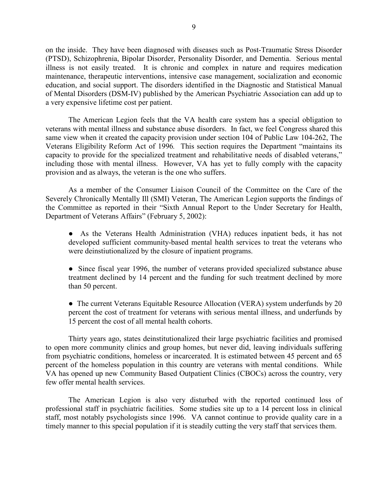on the inside. They have been diagnosed with diseases such as Post-Traumatic Stress Disorder (PTSD), Schizophrenia, Bipolar Disorder, Personality Disorder, and Dementia. Serious mental illness is not easily treated. It is chronic and complex in nature and requires medication maintenance, therapeutic interventions, intensive case management, socialization and economic education, and social support. The disorders identified in the Diagnostic and Statistical Manual of Mental Disorders (DSM-IV) published by the American Psychiatric Association can add up to a very expensive lifetime cost per patient.

The American Legion feels that the VA health care system has a special obligation to veterans with mental illness and substance abuse disorders. In fact, we feel Congress shared this same view when it created the capacity provision under section 104 of Public Law 104-262, The Veterans Eligibility Reform Act of 1996*.* This section requires the Department "maintains its capacity to provide for the specialized treatment and rehabilitative needs of disabled veterans," including those with mental illness. However, VA has yet to fully comply with the capacity provision and as always, the veteran is the one who suffers.

As a member of the Consumer Liaison Council of the Committee on the Care of the Severely Chronically Mentally Ill (SMI) Veteran, The American Legion supports the findings of the Committee as reported in their "Sixth Annual Report to the Under Secretary for Health, Department of Veterans Affairs" (February 5, 2002):

● As the Veterans Health Administration (VHA) reduces inpatient beds, it has not developed sufficient community-based mental health services to treat the veterans who were deinstiutionalized by the closure of inpatient programs.

• Since fiscal year 1996, the number of veterans provided specialized substance abuse treatment declined by 14 percent and the funding for such treatment declined by more than 50 percent.

• The current Veterans Equitable Resource Allocation (VERA) system underfunds by 20 percent the cost of treatment for veterans with serious mental illness, and underfunds by 15 percent the cost of all mental health cohorts.

Thirty years ago, states deinstitutionalized their large psychiatric facilities and promised to open more community clinics and group homes, but never did, leaving individuals suffering from psychiatric conditions, homeless or incarcerated. It is estimated between 45 percent and 65 percent of the homeless population in this country are veterans with mental conditions. While VA has opened up new Community Based Outpatient Clinics (CBOCs) across the country, very few offer mental health services.

The American Legion is also very disturbed with the reported continued loss of professional staff in psychiatric facilities. Some studies site up to a 14 percent loss in clinical staff, most notably psychologists since 1996. VA cannot continue to provide quality care in a timely manner to this special population if it is steadily cutting the very staff that services them.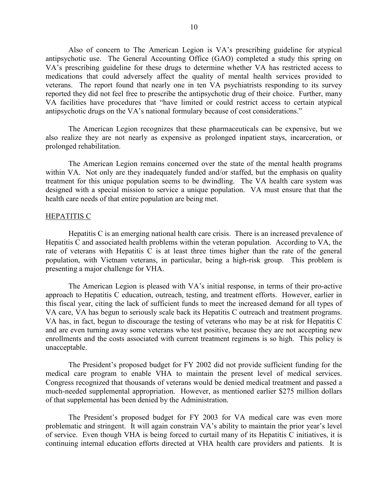Also of concern to The American Legion is VA's prescribing guideline for atypical antipsychotic use. The General Accounting Office (GAO) completed a study this spring on VA's prescribing guideline for these drugs to determine whether VA has restricted access to medications that could adversely affect the quality of mental health services provided to veterans. The report found that nearly one in ten VA psychiatrists responding to its survey reported they did not feel free to prescribe the antipsychotic drug of their choice. Further, many VA facilities have procedures that "have limited or could restrict access to certain atypical antipsychotic drugs on the VA's national formulary because of cost considerations."

The American Legion recognizes that these pharmaceuticals can be expensive, but we also realize they are not nearly as expensive as prolonged inpatient stays, incarceration, or prolonged rehabilitation.

The American Legion remains concerned over the state of the mental health programs within VA. Not only are they inadequately funded and/or staffed, but the emphasis on quality treatment for this unique population seems to be dwindling. The VA health care system was designed with a special mission to service a unique population. VA must ensure that that the health care needs of that entire population are being met.

### HEPATITIS C

Hepatitis C is an emerging national health care crisis. There is an increased prevalence of Hepatitis C and associated health problems within the veteran population. According to VA, the rate of veterans with Hepatitis C is at least three times higher than the rate of the general population, with Vietnam veterans, in particular, being a high-risk group. This problem is presenting a major challenge for VHA.

The American Legion is pleased with VA's initial response, in terms of their pro-active approach to Hepatitis C education, outreach, testing, and treatment efforts. However, earlier in this fiscal year, citing the lack of sufficient funds to meet the increased demand for all types of VA care, VA has begun to seriously scale back its Hepatitis C outreach and treatment programs. VA has, in fact, begun to discourage the testing of veterans who may be at risk for Hepatitis C and are even turning away some veterans who test positive, because they are not accepting new enrollments and the costs associated with current treatment regimens is so high. This policy is unacceptable.

The President's proposed budget for FY 2002 did not provide sufficient funding for the medical care program to enable VHA to maintain the present level of medical services. Congress recognized that thousands of veterans would be denied medical treatment and passed a much-needed supplemental appropriation. However, as mentioned earlier \$275 million dollars of that supplemental has been denied by the Administration.

The President's proposed budget for FY 2003 for VA medical care was even more problematic and stringent. It will again constrain VA's ability to maintain the prior year's level of service. Even though VHA is being forced to curtail many of its Hepatitis C initiatives, it is continuing internal education efforts directed at VHA health care providers and patients. It is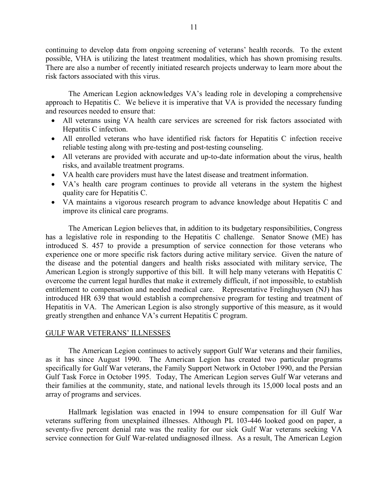continuing to develop data from ongoing screening of veterans' health records. To the extent possible, VHA is utilizing the latest treatment modalities, which has shown promising results. There are also a number of recently initiated research projects underway to learn more about the risk factors associated with this virus.

The American Legion acknowledges VA's leading role in developing a comprehensive approach to Hepatitis C. We believe it is imperative that VA is provided the necessary funding and resources needed to ensure that:

- All veterans using VA health care services are screened for risk factors associated with Hepatitis C infection.
- All enrolled veterans who have identified risk factors for Hepatitis C infection receive reliable testing along with pre-testing and post-testing counseling.
- All veterans are provided with accurate and up-to-date information about the virus, health risks, and available treatment programs.
- VA health care providers must have the latest disease and treatment information.
- VA's health care program continues to provide all veterans in the system the highest quality care for Hepatitis C.
- VA maintains a vigorous research program to advance knowledge about Hepatitis C and improve its clinical care programs.

The American Legion believes that, in addition to its budgetary responsibilities, Congress has a legislative role in responding to the Hepatitis C challenge. Senator Snowe (ME) has introduced S. 457 to provide a presumption of service connection for those veterans who experience one or more specific risk factors during active military service. Given the nature of the disease and the potential dangers and health risks associated with military service, The American Legion is strongly supportive of this bill. It will help many veterans with Hepatitis C overcome the current legal hurdles that make it extremely difficult, if not impossible, to establish entitlement to compensation and needed medical care. Representative Frelinghuysen (NJ) has introduced HR 639 that would establish a comprehensive program for testing and treatment of Hepatitis in VA. The American Legion is also strongly supportive of this measure, as it would greatly strengthen and enhance VA's current Hepatitis C program.

# GULF WAR VETERANS' ILLNESSES

The American Legion continues to actively support Gulf War veterans and their families, as it has since August 1990. The American Legion has created two particular programs specifically for Gulf War veterans, the Family Support Network in October 1990, and the Persian Gulf Task Force in October 1995. Today, The American Legion serves Gulf War veterans and their families at the community, state, and national levels through its 15,000 local posts and an array of programs and services.

Hallmark legislation was enacted in 1994 to ensure compensation for ill Gulf War veterans suffering from unexplained illnesses. Although PL 103-446 looked good on paper, a seventy-five percent denial rate was the reality for our sick Gulf War veterans seeking VA service connection for Gulf War-related undiagnosed illness. As a result, The American Legion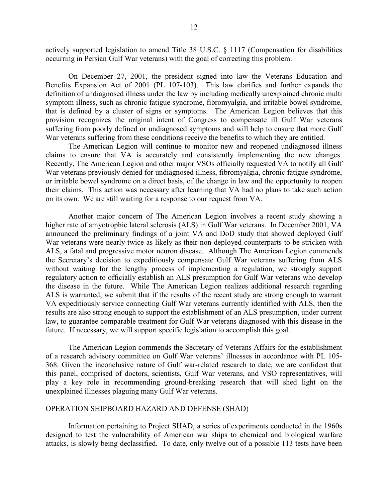actively supported legislation to amend Title 38 U.S.C. § 1117 (Compensation for disabilities occurring in Persian Gulf War veterans) with the goal of correcting this problem.

On December 27, 2001, the president signed into law the Veterans Education and Benefits Expansion Act of 2001 (PL 107-103). This law clarifies and further expands the definition of undiagnosed illness under the law by including medically unexplained chronic multi symptom illness, such as chronic fatigue syndrome, fibromyalgia, and irritable bowel syndrome, that is defined by a cluster of signs or symptoms. The American Legion believes that this provision recognizes the original intent of Congress to compensate ill Gulf War veterans suffering from poorly defined or undiagnosed symptoms and will help to ensure that more Gulf War veterans suffering from these conditions receive the benefits to which they are entitled.

The American Legion will continue to monitor new and reopened undiagnosed illness claims to ensure that VA is accurately and consistently implementing the new changes. Recently, The American Legion and other major VSOs officially requested VA to notify all Gulf War veterans previously denied for undiagnosed illness, fibromyalgia, chronic fatigue syndrome, or irritable bowel syndrome on a direct basis, of the change in law and the opportunity to reopen their claims. This action was necessary after learning that VA had no plans to take such action on its own. We are still waiting for a response to our request from VA.

Another major concern of The American Legion involves a recent study showing a higher rate of amyotrophic lateral sclerosis (ALS) in Gulf War veterans. In December 2001, VA announced the preliminary findings of a joint VA and DoD study that showed deployed Gulf War veterans were nearly twice as likely as their non-deployed counterparts to be stricken with ALS, a fatal and progressive motor neuron disease. Although The American Legion commends the Secretary's decision to expeditiously compensate Gulf War veterans suffering from ALS without waiting for the lengthy process of implementing a regulation, we strongly support regulatory action to officially establish an ALS presumption for Gulf War veterans who develop the disease in the future. While The American Legion realizes additional research regarding ALS is warranted, we submit that if the results of the recent study are strong enough to warrant VA expeditiously service connecting Gulf War veterans currently identified with ALS, then the results are also strong enough to support the establishment of an ALS presumption, under current law, to guarantee comparable treatment for Gulf War veterans diagnosed with this disease in the future. If necessary, we will support specific legislation to accomplish this goal.

The American Legion commends the Secretary of Veterans Affairs for the establishment of a research advisory committee on Gulf War veterans' illnesses in accordance with PL 105- 368. Given the inconclusive nature of Gulf war-related research to date, we are confident that this panel, comprised of doctors, scientists, Gulf War veterans, and VSO representatives, will play a key role in recommending ground-breaking research that will shed light on the unexplained illnesses plaguing many Gulf War veterans.

### OPERATION SHIPBOARD HAZARD AND DEFENSE (SHAD)

Information pertaining to Project SHAD, a series of experiments conducted in the 1960s designed to test the vulnerability of American war ships to chemical and biological warfare attacks, is slowly being declassified. To date, only twelve out of a possible 113 tests have been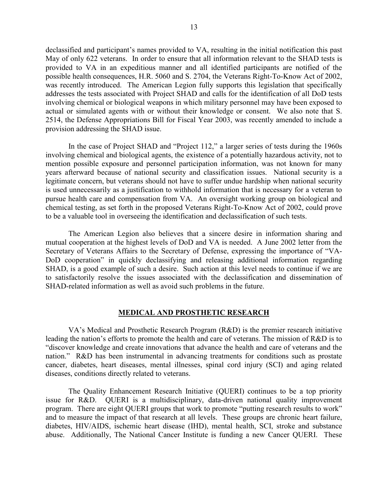declassified and participant's names provided to VA, resulting in the initial notification this past May of only 622 veterans. In order to ensure that all information relevant to the SHAD tests is provided to VA in an expeditious manner and all identified participants are notified of the possible health consequences, H.R. 5060 and S. 2704, the Veterans Right-To-Know Act of 2002, was recently introduced. The American Legion fully supports this legislation that specifically addresses the tests associated with Project SHAD and calls for the identification of all DoD tests involving chemical or biological weapons in which military personnel may have been exposed to actual or simulated agents with or without their knowledge or consent. We also note that S. 2514, the Defense Appropriations Bill for Fiscal Year 2003, was recently amended to include a provision addressing the SHAD issue.

In the case of Project SHAD and "Project 112," a larger series of tests during the 1960s involving chemical and biological agents, the existence of a potentially hazardous activity, not to mention possible exposure and personnel participation information, was not known for many years afterward because of national security and classification issues. National security is a legitimate concern, but veterans should not have to suffer undue hardship when national security is used unnecessarily as a justification to withhold information that is necessary for a veteran to pursue health care and compensation from VA. An oversight working group on biological and chemical testing, as set forth in the proposed Veterans Right-To-Know Act of 2002, could prove to be a valuable tool in overseeing the identification and declassification of such tests.

The American Legion also believes that a sincere desire in information sharing and mutual cooperation at the highest levels of DoD and VA is needed. A June 2002 letter from the Secretary of Veterans Affairs to the Secretary of Defense, expressing the importance of "VA-DoD cooperation" in quickly declassifying and releasing additional information regarding SHAD, is a good example of such a desire. Such action at this level needs to continue if we are to satisfactorily resolve the issues associated with the declassification and dissemination of SHAD-related information as well as avoid such problems in the future.

#### **MEDICAL AND PROSTHETIC RESEARCH**

VA's Medical and Prosthetic Research Program (R&D) is the premier research initiative leading the nation's efforts to promote the health and care of veterans. The mission of R&D is to "discover knowledge and create innovations that advance the health and care of veterans and the nation." R&D has been instrumental in advancing treatments for conditions such as prostate cancer, diabetes, heart diseases, mental illnesses, spinal cord injury (SCI) and aging related diseases, conditions directly related to veterans.

The Quality Enhancement Research Initiative (QUERI) continues to be a top priority issue for R&D. QUERI is a multidisciplinary, data-driven national quality improvement program. There are eight QUERI groups that work to promote "putting research results to work" and to measure the impact of that research at all levels. These groups are chronic heart failure, diabetes, HIV/AIDS, ischemic heart disease (IHD), mental health, SCI, stroke and substance abuse. Additionally, The National Cancer Institute is funding a new Cancer QUERI. These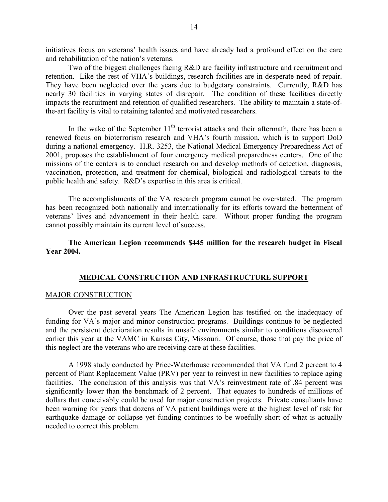initiatives focus on veterans' health issues and have already had a profound effect on the care and rehabilitation of the nation's veterans.

Two of the biggest challenges facing R&D are facility infrastructure and recruitment and retention. Like the rest of VHA's buildings, research facilities are in desperate need of repair. They have been neglected over the years due to budgetary constraints. Currently, R&D has nearly 30 facilities in varying states of disrepair. The condition of these facilities directly impacts the recruitment and retention of qualified researchers. The ability to maintain a state-ofthe-art facility is vital to retaining talented and motivated researchers.

In the wake of the September  $11<sup>th</sup>$  terrorist attacks and their aftermath, there has been a renewed focus on bioterrorism research and VHA's fourth mission, which is to support DoD during a national emergency. H.R. 3253, the National Medical Emergency Preparedness Act of 2001, proposes the establishment of four emergency medical preparedness centers. One of the missions of the centers is to conduct research on and develop methods of detection, diagnosis, vaccination, protection, and treatment for chemical, biological and radiological threats to the public health and safety. R&D's expertise in this area is critical.

The accomplishments of the VA research program cannot be overstated. The program has been recognized both nationally and internationally for its efforts toward the betterment of veterans' lives and advancement in their health care. Without proper funding the program cannot possibly maintain its current level of success.

**The American Legion recommends \$445 million for the research budget in Fiscal Year 2004.**

#### **MEDICAL CONSTRUCTION AND INFRASTRUCTURE SUPPORT**

#### MAJOR CONSTRUCTION

Over the past several years The American Legion has testified on the inadequacy of funding for VA's major and minor construction programs. Buildings continue to be neglected and the persistent deterioration results in unsafe environments similar to conditions discovered earlier this year at the VAMC in Kansas City, Missouri. Of course, those that pay the price of this neglect are the veterans who are receiving care at these facilities.

A 1998 study conducted by Price-Waterhouse recommended that VA fund 2 percent to 4 percent of Plant Replacement Value (PRV) per year to reinvest in new facilities to replace aging facilities. The conclusion of this analysis was that VA's reinvestment rate of .84 percent was significantly lower than the benchmark of 2 percent. That equates to hundreds of millions of dollars that conceivably could be used for major construction projects. Private consultants have been warning for years that dozens of VA patient buildings were at the highest level of risk for earthquake damage or collapse yet funding continues to be woefully short of what is actually needed to correct this problem.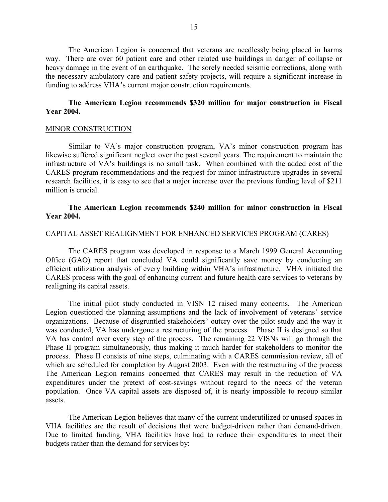The American Legion is concerned that veterans are needlessly being placed in harms way. There are over 60 patient care and other related use buildings in danger of collapse or heavy damage in the event of an earthquake. The sorely needed seismic corrections, along with the necessary ambulatory care and patient safety projects, will require a significant increase in funding to address VHA's current major construction requirements.

# **The American Legion recommends \$320 million for major construction in Fiscal Year 2004.**

## MINOR CONSTRUCTION

Similar to VA's major construction program, VA's minor construction program has likewise suffered significant neglect over the past several years. The requirement to maintain the infrastructure of VA's buildings is no small task. When combined with the added cost of the CARES program recommendations and the request for minor infrastructure upgrades in several research facilities, it is easy to see that a major increase over the previous funding level of \$211 million is crucial.

# **The American Legion recommends \$240 million for minor construction in Fiscal Year 2004.**

## CAPITAL ASSET REALIGNMENT FOR ENHANCED SERVICES PROGRAM (CARES)

The CARES program was developed in response to a March 1999 General Accounting Office (GAO) report that concluded VA could significantly save money by conducting an efficient utilization analysis of every building within VHA's infrastructure. VHA initiated the CARES process with the goal of enhancing current and future health care services to veterans by realigning its capital assets.

The initial pilot study conducted in VISN 12 raised many concerns. The American Legion questioned the planning assumptions and the lack of involvement of veterans' service organizations. Because of disgruntled stakeholders' outcry over the pilot study and the way it was conducted, VA has undergone a restructuring of the process. Phase II is designed so that VA has control over every step of the process. The remaining 22 VISNs will go through the Phase II program simultaneously, thus making it much harder for stakeholders to monitor the process. Phase II consists of nine steps, culminating with a CARES commission review, all of which are scheduled for completion by August 2003. Even with the restructuring of the process The American Legion remains concerned that CARES may result in the reduction of VA expenditures under the pretext of cost-savings without regard to the needs of the veteran population. Once VA capital assets are disposed of, it is nearly impossible to recoup similar assets.

The American Legion believes that many of the current underutilized or unused spaces in VHA facilities are the result of decisions that were budget-driven rather than demand-driven. Due to limited funding, VHA facilities have had to reduce their expenditures to meet their budgets rather than the demand for services by: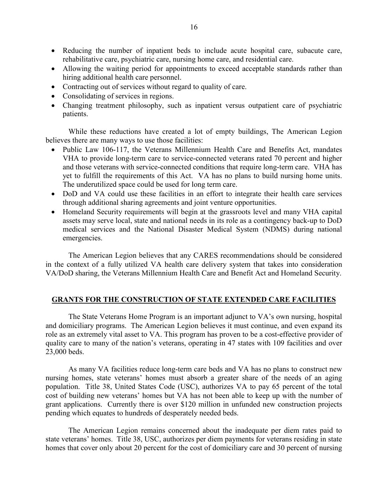- Reducing the number of inpatient beds to include acute hospital care, subacute care, rehabilitative care, psychiatric care, nursing home care, and residential care.
- Allowing the waiting period for appointments to exceed acceptable standards rather than hiring additional health care personnel.
- Contracting out of services without regard to quality of care.
- Consolidating of services in regions.
- Changing treatment philosophy, such as inpatient versus outpatient care of psychiatric patients.

While these reductions have created a lot of empty buildings, The American Legion believes there are many ways to use those facilities:

- Public Law 106-117, the Veterans Millennium Health Care and Benefits Act, mandates VHA to provide long-term care to service-connected veterans rated 70 percent and higher and those veterans with service-connected conditions that require long-term care. VHA has yet to fulfill the requirements of this Act. VA has no plans to build nursing home units. The underutilized space could be used for long term care.
- DoD and VA could use these facilities in an effort to integrate their health care services through additional sharing agreements and joint venture opportunities.
- Homeland Security requirements will begin at the grassroots level and many VHA capital assets may serve local, state and national needs in its role as a contingency back-up to DoD medical services and the National Disaster Medical System (NDMS) during national emergencies.

The American Legion believes that any CARES recommendations should be considered in the context of a fully utilized VA health care delivery system that takes into consideration VA/DoD sharing, the Veterans Millennium Health Care and Benefit Act and Homeland Security.

## **GRANTS FOR THE CONSTRUCTION OF STATE EXTENDED CARE FACILITIES**

The State Veterans Home Program is an important adjunct to VA's own nursing, hospital and domiciliary programs. The American Legion believes it must continue, and even expand its role as an extremely vital asset to VA. This program has proven to be a cost-effective provider of quality care to many of the nation's veterans, operating in 47 states with 109 facilities and over 23,000 beds.

As many VA facilities reduce long-term care beds and VA has no plans to construct new nursing homes, state veterans' homes must absorb a greater share of the needs of an aging population. Title 38, United States Code (USC), authorizes VA to pay 65 percent of the total cost of building new veterans' homes but VA has not been able to keep up with the number of grant applications. Currently there is over \$120 million in unfunded new construction projects pending which equates to hundreds of desperately needed beds.

The American Legion remains concerned about the inadequate per diem rates paid to state veterans' homes. Title 38, USC, authorizes per diem payments for veterans residing in state homes that cover only about 20 percent for the cost of domiciliary care and 30 percent of nursing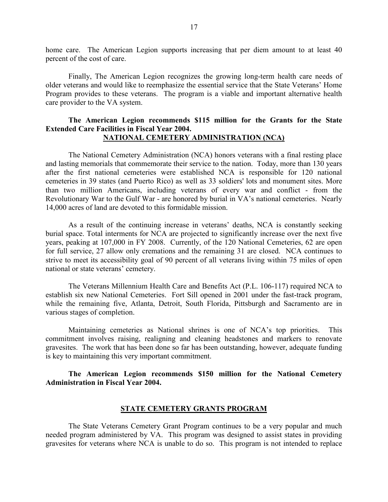home care. The American Legion supports increasing that per diem amount to at least 40 percent of the cost of care.

Finally, The American Legion recognizes the growing long-term health care needs of older veterans and would like to reemphasize the essential service that the State Veterans' Home Program provides to these veterans. The program is a viable and important alternative health care provider to the VA system.

# **The American Legion recommends \$115 million for the Grants for the State Extended Care Facilities in Fiscal Year 2004. NATIONAL CEMETERY ADMINISTRATION (NCA)**

The National Cemetery Administration (NCA) honors veterans with a final resting place and lasting memorials that commemorate their service to the nation. Today, more than 130 years after the first national cemeteries were established NCA is responsible for 120 national cemeteries in 39 states (and Puerto Rico) as well as 33 soldiers' lots and monument sites. More than two million Americans, including veterans of every war and conflict - from the Revolutionary War to the Gulf War - are honored by burial in VA's national cemeteries. Nearly 14,000 acres of land are devoted to this formidable mission.

As a result of the continuing increase in veterans' deaths, NCA is constantly seeking burial space. Total interments for NCA are projected to significantly increase over the next five years, peaking at 107,000 in FY 2008. Currently, of the 120 National Cemeteries, 62 are open for full service, 27 allow only cremations and the remaining 31 are closed. NCA continues to strive to meet its accessibility goal of 90 percent of all veterans living within 75 miles of open national or state veterans' cemetery.

The Veterans Millennium Health Care and Benefits Act (P.L. 106-117) required NCA to establish six new National Cemeteries. Fort Sill opened in 2001 under the fast-track program, while the remaining five, Atlanta, Detroit, South Florida, Pittsburgh and Sacramento are in various stages of completion.

Maintaining cemeteries as National shrines is one of NCA's top priorities. This commitment involves raising, realigning and cleaning headstones and markers to renovate gravesites. The work that has been done so far has been outstanding, however, adequate funding is key to maintaining this very important commitment.

# **The American Legion recommends \$150 million for the National Cemetery Administration in Fiscal Year 2004.**

#### **STATE CEMETERY GRANTS PROGRAM**

The State Veterans Cemetery Grant Program continues to be a very popular and much needed program administered by VA. This program was designed to assist states in providing gravesites for veterans where NCA is unable to do so. This program is not intended to replace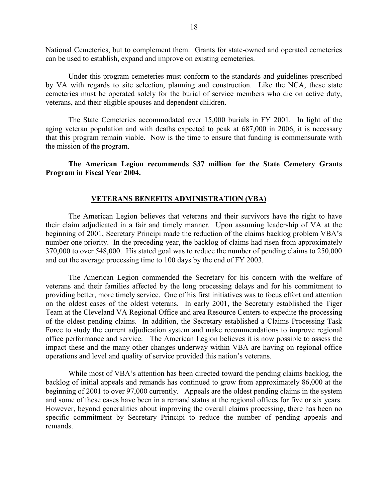National Cemeteries, but to complement them. Grants for state-owned and operated cemeteries can be used to establish, expand and improve on existing cemeteries.

Under this program cemeteries must conform to the standards and guidelines prescribed by VA with regards to site selection, planning and construction. Like the NCA, these state cemeteries must be operated solely for the burial of service members who die on active duty, veterans, and their eligible spouses and dependent children.

The State Cemeteries accommodated over 15,000 burials in FY 2001. In light of the aging veteran population and with deaths expected to peak at 687,000 in 2006, it is necessary that this program remain viable. Now is the time to ensure that funding is commensurate with the mission of the program.

**The American Legion recommends \$37 million for the State Cemetery Grants Program in Fiscal Year 2004.**

# **VETERANS BENEFITS ADMINISTRATION (VBA)**

The American Legion believes that veterans and their survivors have the right to have their claim adjudicated in a fair and timely manner. Upon assuming leadership of VA at the beginning of 2001, Secretary Principi made the reduction of the claims backlog problem VBA's number one priority. In the preceding year, the backlog of claims had risen from approximately 370,000 to over 548,000. His stated goal was to reduce the number of pending claims to 250,000 and cut the average processing time to 100 days by the end of FY 2003.

The American Legion commended the Secretary for his concern with the welfare of veterans and their families affected by the long processing delays and for his commitment to providing better, more timely service. One of his first initiatives was to focus effort and attention on the oldest cases of the oldest veterans. In early 2001, the Secretary established the Tiger Team at the Cleveland VA Regional Office and area Resource Centers to expedite the processing of the oldest pending claims. In addition, the Secretary established a Claims Processing Task Force to study the current adjudication system and make recommendations to improve regional office performance and service. The American Legion believes it is now possible to assess the impact these and the many other changes underway within VBA are having on regional office operations and level and quality of service provided this nation's veterans.

While most of VBA's attention has been directed toward the pending claims backlog, the backlog of initial appeals and remands has continued to grow from approximately 86,000 at the beginning of 2001 to over 97,000 currently. Appeals are the oldest pending claims in the system and some of these cases have been in a remand status at the regional offices for five or six years. However, beyond generalities about improving the overall claims processing, there has been no specific commitment by Secretary Principi to reduce the number of pending appeals and remands.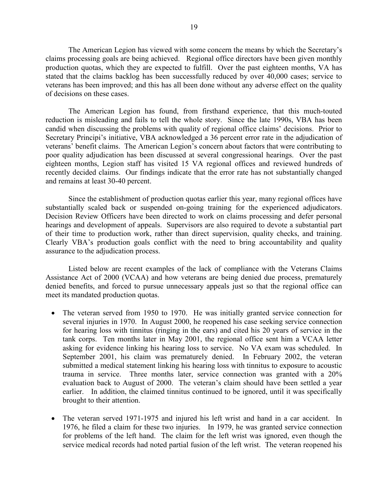The American Legion has viewed with some concern the means by which the Secretary's claims processing goals are being achieved. Regional office directors have been given monthly production quotas, which they are expected to fulfill. Over the past eighteen months, VA has stated that the claims backlog has been successfully reduced by over 40,000 cases; service to veterans has been improved; and this has all been done without any adverse effect on the quality of decisions on these cases.

The American Legion has found, from firsthand experience, that this much-touted reduction is misleading and fails to tell the whole story. Since the late 1990s, VBA has been candid when discussing the problems with quality of regional office claims' decisions. Prior to Secretary Principi's initiative, VBA acknowledged a 36 percent error rate in the adjudication of veterans' benefit claims. The American Legion's concern about factors that were contributing to poor quality adjudication has been discussed at several congressional hearings. Over the past eighteen months, Legion staff has visited 15 VA regional offices and reviewed hundreds of recently decided claims. Our findings indicate that the error rate has not substantially changed and remains at least 30-40 percent.

Since the establishment of production quotas earlier this year, many regional offices have substantially scaled back or suspended on-going training for the experienced adjudicators. Decision Review Officers have been directed to work on claims processing and defer personal hearings and development of appeals. Supervisors are also required to devote a substantial part of their time to production work, rather than direct supervision, quality checks, and training. Clearly VBA's production goals conflict with the need to bring accountability and quality assurance to the adjudication process.

Listed below are recent examples of the lack of compliance with the Veterans Claims Assistance Act of 2000 (VCAA) and how veterans are being denied due process, prematurely denied benefits, and forced to pursue unnecessary appeals just so that the regional office can meet its mandated production quotas.

- The veteran served from 1950 to 1970. He was initially granted service connection for several injuries in 1970. In August 2000, he reopened his case seeking service connection for hearing loss with tinnitus (ringing in the ears) and cited his 20 years of service in the tank corps. Ten months later in May 2001, the regional office sent him a VCAA letter asking for evidence linking his hearing loss to service. No VA exam was scheduled. In September 2001, his claim was prematurely denied. In February 2002, the veteran submitted a medical statement linking his hearing loss with tinnitus to exposure to acoustic trauma in service. Three months later, service connection was granted with a 20% evaluation back to August of 2000. The veteran's claim should have been settled a year earlier. In addition, the claimed tinnitus continued to be ignored, until it was specifically brought to their attention.
- The veteran served 1971-1975 and injured his left wrist and hand in a car accident. In 1976, he filed a claim for these two injuries. In 1979, he was granted service connection for problems of the left hand. The claim for the left wrist was ignored, even though the service medical records had noted partial fusion of the left wrist. The veteran reopened his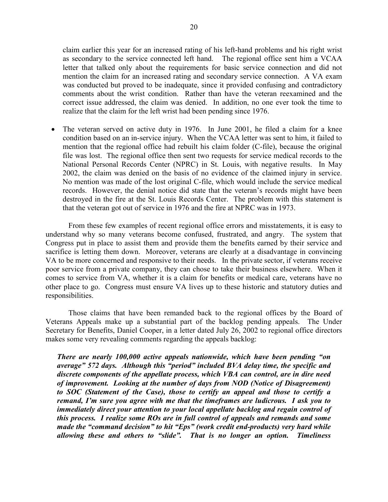claim earlier this year for an increased rating of his left-hand problems and his right wrist as secondary to the service connected left hand. The regional office sent him a VCAA letter that talked only about the requirements for basic service connection and did not mention the claim for an increased rating and secondary service connection. A VA exam was conducted but proved to be inadequate, since it provided confusing and contradictory comments about the wrist condition. Rather than have the veteran reexamined and the correct issue addressed, the claim was denied. In addition, no one ever took the time to realize that the claim for the left wrist had been pending since 1976.

• The veteran served on active duty in 1976. In June 2001, he filed a claim for a knee condition based on an in-service injury. When the VCAA letter was sent to him, it failed to mention that the regional office had rebuilt his claim folder (C-file), because the original file was lost. The regional office then sent two requests for service medical records to the National Personal Records Center (NPRC) in St. Louis, with negative results. In May 2002, the claim was denied on the basis of no evidence of the claimed injury in service. No mention was made of the lost original C-file, which would include the service medical records. However, the denial notice did state that the veteran's records might have been destroyed in the fire at the St. Louis Records Center. The problem with this statement is that the veteran got out of service in 1976 and the fire at NPRC was in 1973.

From these few examples of recent regional office errors and misstatements, it is easy to understand why so many veterans become confused, frustrated, and angry. The system that Congress put in place to assist them and provide them the benefits earned by their service and sacrifice is letting them down. Moreover, veterans are clearly at a disadvantage in convincing VA to be more concerned and responsive to their needs. In the private sector, if veterans receive poor service from a private company, they can chose to take their business elsewhere. When it comes to service from VA, whether it is a claim for benefits or medical care, veterans have no other place to go. Congress must ensure VA lives up to these historic and statutory duties and responsibilities.

Those claims that have been remanded back to the regional offices by the Board of Veterans Appeals make up a substantial part of the backlog pending appeals. The Under Secretary for Benefits, Daniel Cooper, in a letter dated July 26, 2002 to regional office directors makes some very revealing comments regarding the appeals backlog:

*There are nearly 100,000 active appeals nationwide, which have been pending "on average" 572 days. Although this "period" included BVA delay time, the specific and discrete components of the appellate process, which VBA can control, are in dire need of improvement. Looking at the number of days from NOD (Notice of Disagreement) to SOC (Statement of the Case), those to certify an appeal and those to certify a remand, I'm sure you agree with me that the timeframes are ludicrous. I ask you to immediately direct your attention to your local appellate backlog and regain control of this process. I realize some ROs are in full control of appeals and remands and some made the "command decision" to hit "Eps" (work credit end-products) very hard while allowing these and others to "slide". That is no longer an option. Timeliness*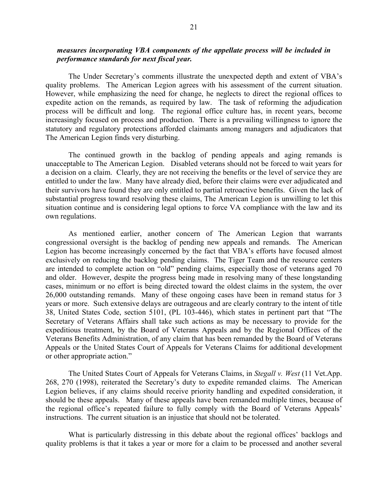# *measures incorporating VBA components of the appellate process will be included in performance standards for next fiscal year.*

The Under Secretary's comments illustrate the unexpected depth and extent of VBA's quality problems. The American Legion agrees with his assessment of the current situation. However, while emphasizing the need for change, he neglects to direct the regional offices to expedite action on the remands, as required by law. The task of reforming the adjudication process will be difficult and long. The regional office culture has, in recent years, become increasingly focused on process and production. There is a prevailing willingness to ignore the statutory and regulatory protections afforded claimants among managers and adjudicators that The American Legion finds very disturbing.

The continued growth in the backlog of pending appeals and aging remands is unacceptable to The American Legion. Disabled veterans should not be forced to wait years for a decision on a claim. Clearly, they are not receiving the benefits or the level of service they are entitled to under the law. Many have already died, before their claims were ever adjudicated and their survivors have found they are only entitled to partial retroactive benefits. Given the lack of substantial progress toward resolving these claims, The American Legion is unwilling to let this situation continue and is considering legal options to force VA compliance with the law and its own regulations.

As mentioned earlier, another concern of The American Legion that warrants congressional oversight is the backlog of pending new appeals and remands. The American Legion has become increasingly concerned by the fact that VBA's efforts have focused almost exclusively on reducing the backlog pending claims. The Tiger Team and the resource centers are intended to complete action on "old" pending claims, especially those of veterans aged 70 and older. However, despite the progress being made in resolving many of these longstanding cases, minimum or no effort is being directed toward the oldest claims in the system, the over 26,000 outstanding remands. Many of these ongoing cases have been in remand status for 3 years or more. Such extensive delays are outrageous and are clearly contrary to the intent of title 38, United States Code, section 5101, (PL 103-446), which states in pertinent part that "The Secretary of Veterans Affairs shall take such actions as may be necessary to provide for the expeditious treatment, by the Board of Veterans Appeals and by the Regional Offices of the Veterans Benefits Administration, of any claim that has been remanded by the Board of Veterans Appeals or the United States Court of Appeals for Veterans Claims for additional development or other appropriate action."

The United States Court of Appeals for Veterans Claims, in *Stegall v. West* (11 Vet.App. 268, 270 (1998), reiterated the Secretary's duty to expedite remanded claims. The American Legion believes, if any claims should receive priority handling and expedited consideration, it should be these appeals. Many of these appeals have been remanded multiple times, because of the regional office's repeated failure to fully comply with the Board of Veterans Appeals' instructions. The current situation is an injustice that should not be tolerated.

What is particularly distressing in this debate about the regional offices' backlogs and quality problems is that it takes a year or more for a claim to be processed and another several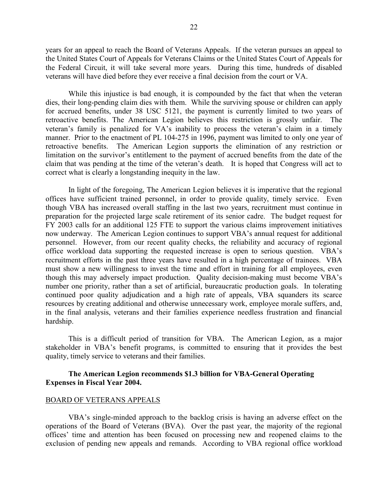years for an appeal to reach the Board of Veterans Appeals. If the veteran pursues an appeal to the United States Court of Appeals for Veterans Claims or the United States Court of Appeals for the Federal Circuit, it will take several more years. During this time, hundreds of disabled veterans will have died before they ever receive a final decision from the court or VA.

While this injustice is bad enough, it is compounded by the fact that when the veteran dies, their long-pending claim dies with them. While the surviving spouse or children can apply for accrued benefits, under 38 USC 5121, the payment is currently limited to two years of retroactive benefits. The American Legion believes this restriction is grossly unfair. The veteran's family is penalized for VA's inability to process the veteran's claim in a timely manner. Prior to the enactment of PL 104-275 in 1996, payment was limited to only one year of retroactive benefits. The American Legion supports the elimination of any restriction or limitation on the survivor's entitlement to the payment of accrued benefits from the date of the claim that was pending at the time of the veteran's death. It is hoped that Congress will act to correct what is clearly a longstanding inequity in the law.

In light of the foregoing, The American Legion believes it is imperative that the regional offices have sufficient trained personnel, in order to provide quality, timely service. Even though VBA has increased overall staffing in the last two years, recruitment must continue in preparation for the projected large scale retirement of its senior cadre. The budget request for FY 2003 calls for an additional 125 FTE to support the various claims improvement initiatives now underway. The American Legion continues to support VBA's annual request for additional personnel. However, from our recent quality checks, the reliability and accuracy of regional office workload data supporting the requested increase is open to serious question. VBA's recruitment efforts in the past three years have resulted in a high percentage of trainees. VBA must show a new willingness to invest the time and effort in training for all employees, even though this may adversely impact production. Quality decision-making must become VBA's number one priority, rather than a set of artificial, bureaucratic production goals. In tolerating continued poor quality adjudication and a high rate of appeals, VBA squanders its scarce resources by creating additional and otherwise unnecessary work, employee morale suffers, and, in the final analysis, veterans and their families experience needless frustration and financial hardship.

This is a difficult period of transition for VBA. The American Legion, as a major stakeholder in VBA's benefit programs, is committed to ensuring that it provides the best quality, timely service to veterans and their families.

## **The American Legion recommends \$1.3 billion for VBA-General Operating Expenses in Fiscal Year 2004.**

#### BOARD OF VETERANS APPEALS

VBA's single-minded approach to the backlog crisis is having an adverse effect on the operations of the Board of Veterans (BVA). Over the past year, the majority of the regional offices' time and attention has been focused on processing new and reopened claims to the exclusion of pending new appeals and remands. According to VBA regional office workload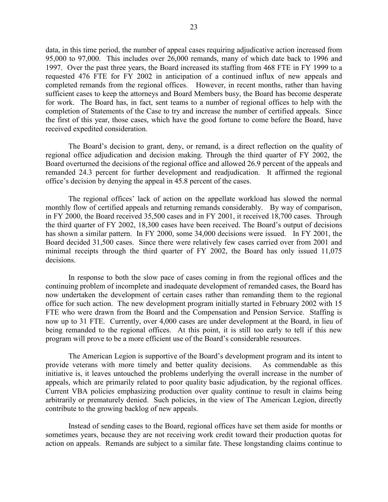data, in this time period, the number of appeal cases requiring adjudicative action increased from 95,000 to 97,000. This includes over 26,000 remands, many of which date back to 1996 and 1997. Over the past three years, the Board increased its staffing from 468 FTE in FY 1999 to a requested 476 FTE for FY 2002 in anticipation of a continued influx of new appeals and completed remands from the regional offices. However, in recent months, rather than having sufficient cases to keep the attorneys and Board Members busy, the Board has become desperate for work. The Board has, in fact, sent teams to a number of regional offices to help with the completion of Statements of the Case to try and increase the number of certified appeals. Since the first of this year, those cases, which have the good fortune to come before the Board, have received expedited consideration.

The Board's decision to grant, deny, or remand, is a direct reflection on the quality of regional office adjudication and decision making. Through the third quarter of FY 2002, the Board overturned the decisions of the regional office and allowed 26.9 percent of the appeals and remanded 24.3 percent for further development and readjudication. It affirmed the regional office's decision by denying the appeal in 45.8 percent of the cases.

The regional offices' lack of action on the appellate workload has slowed the normal monthly flow of certified appeals and returning remands considerably. By way of comparison, in FY 2000, the Board received 35,500 cases and in FY 2001, it received 18,700 cases. Through the third quarter of FY 2002, 18,300 cases have been received. The Board's output of decisions has shown a similar pattern. In FY 2000, some 34,000 decisions were issued. In FY 2001, the Board decided 31,500 cases. Since there were relatively few cases carried over from 2001 and minimal receipts through the third quarter of FY 2002, the Board has only issued 11,075 decisions.

In response to both the slow pace of cases coming in from the regional offices and the continuing problem of incomplete and inadequate development of remanded cases, the Board has now undertaken the development of certain cases rather than remanding them to the regional office for such action. The new development program initially started in February 2002 with 15 FTE who were drawn from the Board and the Compensation and Pension Service. Staffing is now up to 31 FTE. Currently, over 4,000 cases are under development at the Board, in lieu of being remanded to the regional offices. At this point, it is still too early to tell if this new program will prove to be a more efficient use of the Board's considerable resources.

The American Legion is supportive of the Board's development program and its intent to provide veterans with more timely and better quality decisions. As commendable as this initiative is, it leaves untouched the problems underlying the overall increase in the number of appeals, which are primarily related to poor quality basic adjudication, by the regional offices. Current VBA policies emphasizing production over quality continue to result in claims being arbitrarily or prematurely denied. Such policies, in the view of The American Legion, directly contribute to the growing backlog of new appeals.

Instead of sending cases to the Board, regional offices have set them aside for months or sometimes years, because they are not receiving work credit toward their production quotas for action on appeals. Remands are subject to a similar fate. These longstanding claims continue to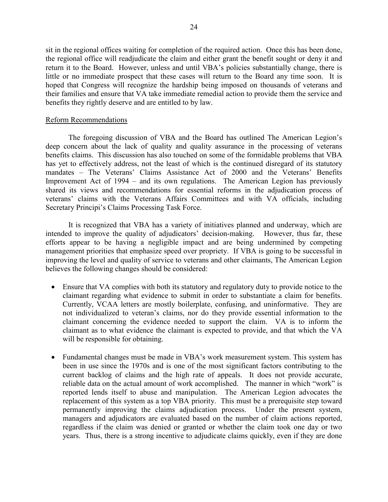sit in the regional offices waiting for completion of the required action. Once this has been done, the regional office will readjudicate the claim and either grant the benefit sought or deny it and return it to the Board. However, unless and until VBA's policies substantially change, there is little or no immediate prospect that these cases will return to the Board any time soon. It is hoped that Congress will recognize the hardship being imposed on thousands of veterans and their families and ensure that VA take immediate remedial action to provide them the service and benefits they rightly deserve and are entitled to by law.

## Reform Recommendations

The foregoing discussion of VBA and the Board has outlined The American Legion's deep concern about the lack of quality and quality assurance in the processing of veterans benefits claims. This discussion has also touched on some of the formidable problems that VBA has yet to effectively address, not the least of which is the continued disregard of its statutory mandates – The Veterans' Claims Assistance Act of 2000 and the Veterans' Benefits Improvement Act of 1994 – and its own regulations. The American Legion has previously shared its views and recommendations for essential reforms in the adjudication process of veterans' claims with the Veterans Affairs Committees and with VA officials, including Secretary Principi's Claims Processing Task Force.

It is recognized that VBA has a variety of initiatives planned and underway, which are intended to improve the quality of adjudicators' decision-making. However, thus far, these efforts appear to be having a negligible impact and are being undermined by competing management priorities that emphasize speed over propriety. If VBA is going to be successful in improving the level and quality of service to veterans and other claimants, The American Legion believes the following changes should be considered:

- Ensure that VA complies with both its statutory and regulatory duty to provide notice to the claimant regarding what evidence to submit in order to substantiate a claim for benefits. Currently, VCAA letters are mostly boilerplate, confusing, and uninformative. They are not individualized to veteran's claims, nor do they provide essential information to the claimant concerning the evidence needed to support the claim. VA is to inform the claimant as to what evidence the claimant is expected to provide, and that which the VA will be responsible for obtaining.
- Fundamental changes must be made in VBA's work measurement system. This system has been in use since the 1970s and is one of the most significant factors contributing to the current backlog of claims and the high rate of appeals. It does not provide accurate, reliable data on the actual amount of work accomplished. The manner in which "work" is reported lends itself to abuse and manipulation. The American Legion advocates the replacement of this system as a top VBA priority. This must be a prerequisite step toward permanently improving the claims adjudication process. Under the present system, managers and adjudicators are evaluated based on the number of claim actions reported, regardless if the claim was denied or granted or whether the claim took one day or two years. Thus, there is a strong incentive to adjudicate claims quickly, even if they are done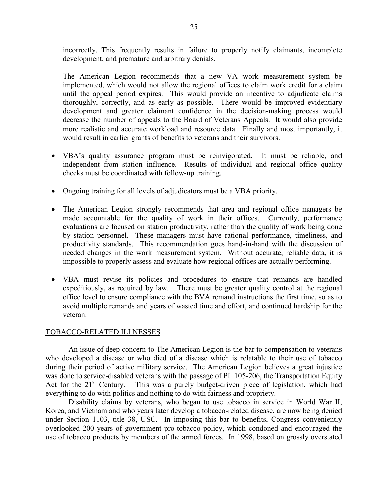incorrectly. This frequently results in failure to properly notify claimants, incomplete development, and premature and arbitrary denials.

The American Legion recommends that a new VA work measurement system be implemented, which would not allow the regional offices to claim work credit for a claim until the appeal period expires. This would provide an incentive to adjudicate claims thoroughly, correctly, and as early as possible. There would be improved evidentiary development and greater claimant confidence in the decision-making process would decrease the number of appeals to the Board of Veterans Appeals. It would also provide more realistic and accurate workload and resource data. Finally and most importantly, it would result in earlier grants of benefits to veterans and their survivors.

- VBA's quality assurance program must be reinvigorated. It must be reliable, and independent from station influence. Results of individual and regional office quality checks must be coordinated with follow-up training.
- Ongoing training for all levels of adjudicators must be a VBA priority.
- The American Legion strongly recommends that area and regional office managers be made accountable for the quality of work in their offices. Currently, performance evaluations are focused on station productivity, rather than the quality of work being done by station personnel. These managers must have rational performance, timeliness, and productivity standards. This recommendation goes hand-in-hand with the discussion of needed changes in the work measurement system. Without accurate, reliable data, it is impossible to properly assess and evaluate how regional offices are actually performing.
- VBA must revise its policies and procedures to ensure that remands are handled expeditiously, as required by law. There must be greater quality control at the regional office level to ensure compliance with the BVA remand instructions the first time, so as to avoid multiple remands and years of wasted time and effort, and continued hardship for the veteran.

# TOBACCO-RELATED ILLNESSES

An issue of deep concern to The American Legion is the bar to compensation to veterans who developed a disease or who died of a disease which is relatable to their use of tobacco during their period of active military service. The American Legion believes a great injustice was done to service-disabled veterans with the passage of PL 105-206, the Transportation Equity<br>Act for the 21<sup>st</sup> Century. This was a purely budget-driven piece of legislation, which had This was a purely budget-driven piece of legislation, which had everything to do with politics and nothing to do with fairness and propriety.

Disability claims by veterans, who began to use tobacco in service in World War II, Korea, and Vietnam and who years later develop a tobacco-related disease, are now being denied under Section 1103, title 38, USC. In imposing this bar to benefits, Congress conveniently overlooked 200 years of government pro-tobacco policy, which condoned and encouraged the use of tobacco products by members of the armed forces. In 1998, based on grossly overstated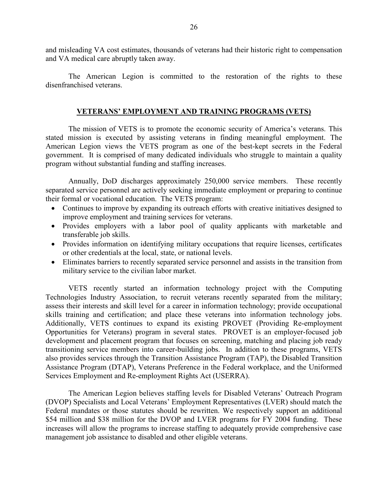and misleading VA cost estimates, thousands of veterans had their historic right to compensation and VA medical care abruptly taken away.

The American Legion is committed to the restoration of the rights to these disenfranchised veterans.

# **VETERANS' EMPLOYMENT AND TRAINING PROGRAMS (VETS)**

The mission of VETS is to promote the economic security of America's veterans. This stated mission is executed by assisting veterans in finding meaningful employment. The American Legion views the VETS program as one of the best-kept secrets in the Federal government. It is comprised of many dedicated individuals who struggle to maintain a quality program without substantial funding and staffing increases.

Annually, DoD discharges approximately 250,000 service members. These recently separated service personnel are actively seeking immediate employment or preparing to continue their formal or vocational education. The VETS program:

- Continues to improve by expanding its outreach efforts with creative initiatives designed to improve employment and training services for veterans.
- Provides employers with a labor pool of quality applicants with marketable and transferable job skills.
- Provides information on identifying military occupations that require licenses, certificates or other credentials at the local, state, or national levels.
- Eliminates barriers to recently separated service personnel and assists in the transition from military service to the civilian labor market.

VETS recently started an information technology project with the Computing Technologies Industry Association, to recruit veterans recently separated from the military; assess their interests and skill level for a career in information technology; provide occupational skills training and certification; and place these veterans into information technology jobs. Additionally, VETS continues to expand its existing PROVET (Providing Re-employment Opportunities for Veterans) program in several states. PROVET is an employer-focused job development and placement program that focuses on screening, matching and placing job ready transitioning service members into career-building jobs. In addition to these programs, VETS also provides services through the Transition Assistance Program (TAP), the Disabled Transition Assistance Program (DTAP), Veterans Preference in the Federal workplace, and the Uniformed Services Employment and Re-employment Rights Act (USERRA).

The American Legion believes staffing levels for Disabled Veterans' Outreach Program (DVOP) Specialists and Local Veterans' Employment Representatives (LVER) should match the Federal mandates or those statutes should be rewritten. We respectively support an additional \$54 million and \$38 million for the DVOP and LVER programs for FY 2004 funding. These increases will allow the programs to increase staffing to adequately provide comprehensive case management job assistance to disabled and other eligible veterans.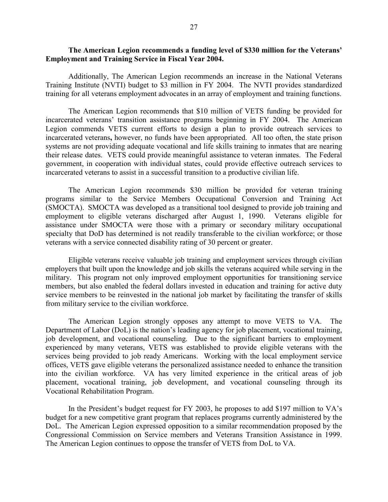# **The American Legion recommends a funding level of \$330 million for the Veterans' Employment and Training Service in Fiscal Year 2004.**

Additionally, The American Legion recommends an increase in the National Veterans Training Institute (NVTI) budget to \$3 million in FY 2004.The NVTI provides standardized training for all veterans employment advocates in an array of employment and training functions.

The American Legion recommends that \$10 million of VETS funding be provided for incarcerated veterans' transition assistance programs beginning in FY 2004. The American Legion commends VETS current efforts to design a plan to provide outreach services to incarcerated veterans**,** however, no funds have been appropriated. All too often, the state prison systems are not providing adequate vocational and life skills training to inmates that are nearing their release dates. VETS could provide meaningful assistance to veteran inmates. The Federal government, in cooperation with individual states, could provide effective outreach services to incarcerated veterans to assist in a successful transition to a productive civilian life.

The American Legion recommends \$30 million be provided for veteran training programs similar to the Service Members Occupational Conversion and Training Act (SMOCTA).SMOCTA was developed as a transitional tool designed to provide job training and employment to eligible veterans discharged after August 1, 1990. Veterans eligible for assistance under SMOCTA were those with a primary or secondary military occupational specialty that DoD has determined is not readily transferable to the civilian workforce; or those veterans with a service connected disability rating of 30 percent or greater.

Eligible veterans receive valuable job training and employment services through civilian employers that built upon the knowledge and job skills the veterans acquired while serving in the military. This program not only improved employment opportunities for transitioning service members, but also enabled the federal dollars invested in education and training for active duty service members to be reinvested in the national job market by facilitating the transfer of skills from military service to the civilian workforce.

The American Legion strongly opposes any attempt to move VETS to VA. The Department of Labor (DoL) is the nation's leading agency for job placement, vocational training, job development, and vocational counseling. Due to the significant barriers to employment experienced by many veterans, VETS was established to provide eligible veterans with the services being provided to job ready Americans. Working with the local employment service offices, VETS gave eligible veterans the personalized assistance needed to enhance the transition into the civilian workforce. VA has very limited experience in the critical areas of job placement, vocational training, job development, and vocational counseling through its Vocational Rehabilitation Program.

In the President's budget request for FY 2003, he proposes to add \$197 million to VA's budget for a new competitive grant program that replaces programs currently administered by the DoL. The American Legion expressed opposition to a similar recommendation proposed by the Congressional Commission on Service members and Veterans Transition Assistance in 1999. The American Legion continues to oppose the transfer of VETS from DoL to VA.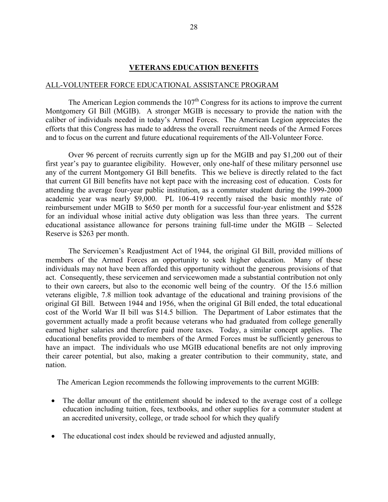## **VETERANS EDUCATION BENEFITS**

## ALL-VOLUNTEER FORCE EDUCATIONAL ASSISTANCE PROGRAM

The American Legion commends the  $107<sup>th</sup>$  Congress for its actions to improve the current Montgomery GI Bill (MGIB). A stronger MGIB is necessary to provide the nation with the caliber of individuals needed in today's Armed Forces. The American Legion appreciates the efforts that this Congress has made to address the overall recruitment needs of the Armed Forces and to focus on the current and future educational requirements of the All-Volunteer Force.

Over 96 percent of recruits currently sign up for the MGIB and pay \$1,200 out of their first year's pay to guarantee eligibility. However, only one-half of these military personnel use any of the current Montgomery GI Bill benefits. This we believe is directly related to the fact that current GI Bill benefits have not kept pace with the increasing cost of education. Costs for attending the average four-year public institution, as a commuter student during the 1999-2000 academic year was nearly \$9,000. PL 106-419 recently raised the basic monthly rate of reimbursement under MGIB to \$650 per month for a successful four-year enlistment and \$528 for an individual whose initial active duty obligation was less than three years. The current educational assistance allowance for persons training full-time under the MGIB – Selected Reserve is \$263 per month.

The Servicemen's Readjustment Act of 1944, the original GI Bill, provided millions of members of the Armed Forces an opportunity to seek higher education. Many of these individuals may not have been afforded this opportunity without the generous provisions of that act. Consequently, these servicemen and servicewomen made a substantial contribution not only to their own careers, but also to the economic well being of the country. Of the 15.6 million veterans eligible, 7.8 million took advantage of the educational and training provisions of the original GI Bill. Between 1944 and 1956, when the original GI Bill ended, the total educational cost of the World War II bill was \$14.5 billion. The Department of Labor estimates that the government actually made a profit because veterans who had graduated from college generally earned higher salaries and therefore paid more taxes. Today, a similar concept applies. The educational benefits provided to members of the Armed Forces must be sufficiently generous to have an impact. The individuals who use MGIB educational benefits are not only improving their career potential, but also, making a greater contribution to their community, state, and nation.

The American Legion recommends the following improvements to the current MGIB:

- The dollar amount of the entitlement should be indexed to the average cost of a college education including tuition, fees, textbooks, and other supplies for a commuter student at an accredited university, college, or trade school for which they qualify
- The educational cost index should be reviewed and adjusted annually,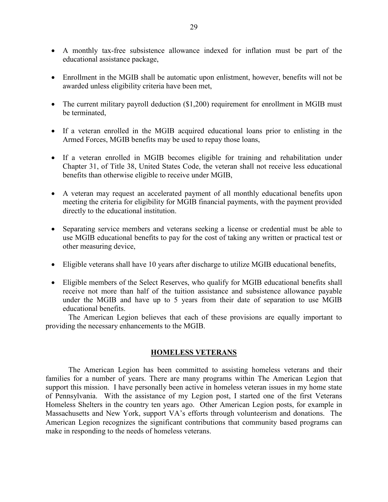- A monthly tax-free subsistence allowance indexed for inflation must be part of the educational assistance package,
- Enrollment in the MGIB shall be automatic upon enlistment, however, benefits will not be awarded unless eligibility criteria have been met,
- The current military payroll deduction (\$1,200) requirement for enrollment in MGIB must be terminated,
- If a veteran enrolled in the MGIB acquired educational loans prior to enlisting in the Armed Forces, MGIB benefits may be used to repay those loans,
- If a veteran enrolled in MGIB becomes eligible for training and rehabilitation under Chapter 31, of Title 38, United States Code, the veteran shall not receive less educational benefits than otherwise eligible to receive under MGIB,
- A veteran may request an accelerated payment of all monthly educational benefits upon meeting the criteria for eligibility for MGIB financial payments, with the payment provided directly to the educational institution.
- Separating service members and veterans seeking a license or credential must be able to use MGIB educational benefits to pay for the cost of taking any written or practical test or other measuring device,
- Eligible veterans shall have 10 years after discharge to utilize MGIB educational benefits,
- Eligible members of the Select Reserves, who qualify for MGIB educational benefits shall receive not more than half of the tuition assistance and subsistence allowance payable under the MGIB and have up to 5 years from their date of separation to use MGIB educational benefits.

The American Legion believes that each of these provisions are equally important to providing the necessary enhancements to the MGIB.

# **HOMELESS VETERANS**

The American Legion has been committed to assisting homeless veterans and their families for a number of years. There are many programs within The American Legion that support this mission. I have personally been active in homeless veteran issues in my home state of Pennsylvania. With the assistance of my Legion post, I started one of the first Veterans Homeless Shelters in the country ten years ago. Other American Legion posts, for example in Massachusetts and New York, support VA's efforts through volunteerism and donations. The American Legion recognizes the significant contributions that community based programs can make in responding to the needs of homeless veterans.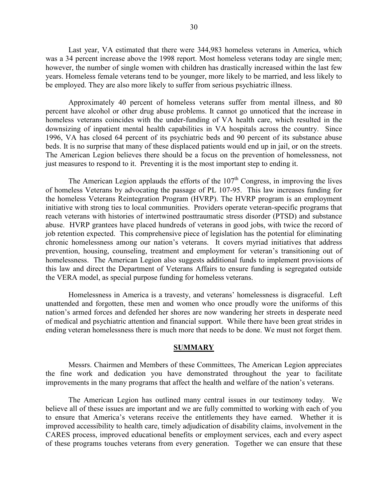Last year, VA estimated that there were 344,983 homeless veterans in America, which was a 34 percent increase above the 1998 report. Most homeless veterans today are single men; however, the number of single women with children has drastically increased within the last few years. Homeless female veterans tend to be younger, more likely to be married, and less likely to be employed. They are also more likely to suffer from serious psychiatric illness.

Approximately 40 percent of homeless veterans suffer from mental illness, and 80 percent have alcohol or other drug abuse problems. It cannot go unnoticed that the increase in homeless veterans coincides with the under-funding of VA health care, which resulted in the downsizing of inpatient mental health capabilities in VA hospitals across the country. Since 1996, VA has closed 64 percent of its psychiatric beds and 90 percent of its substance abuse beds. It is no surprise that many of these displaced patients would end up in jail, or on the streets. The American Legion believes there should be a focus on the prevention of homelessness, not just measures to respond to it. Preventing it is the most important step to ending it.

The American Legion applauds the efforts of the  $107<sup>th</sup>$  Congress, in improving the lives of homeless Veterans by advocating the passage of PL 107-95. This law increases funding for the homeless Veterans Reintegration Program (HVRP). The HVRP program is an employment initiative with strong ties to local communities. Providers operate veteran-specific programs that reach veterans with histories of intertwined posttraumatic stress disorder (PTSD) and substance abuse. HVRP grantees have placed hundreds of veterans in good jobs, with twice the record of job retention expected. This comprehensive piece of legislation has the potential for eliminating chronic homelessness among our nation's veterans. It covers myriad initiatives that address prevention, housing, counseling, treatment and employment for veteran's transitioning out of homelessness. The American Legion also suggests additional funds to implement provisions of this law and direct the Department of Veterans Affairs to ensure funding is segregated outside the VERA model, as special purpose funding for homeless veterans.

Homelessness in America is a travesty, and veterans' homelessness is disgraceful. Left unattended and forgotten, these men and women who once proudly wore the uniforms of this nation's armed forces and defended her shores are now wandering her streets in desperate need of medical and psychiatric attention and financial support. While there have been great strides in ending veteran homelessness there is much more that needs to be done. We must not forget them.

## **SUMMARY**

Messrs. Chairmen and Members of these Committees, The American Legion appreciates the fine work and dedication you have demonstrated throughout the year to facilitate improvements in the many programs that affect the health and welfare of the nation's veterans.

The American Legion has outlined many central issues in our testimony today. We believe all of these issues are important and we are fully committed to working with each of you to ensure that America's veterans receive the entitlements they have earned. Whether it is improved accessibility to health care, timely adjudication of disability claims, involvement in the CARES process, improved educational benefits or employment services, each and every aspect of these programs touches veterans from every generation. Together we can ensure that these